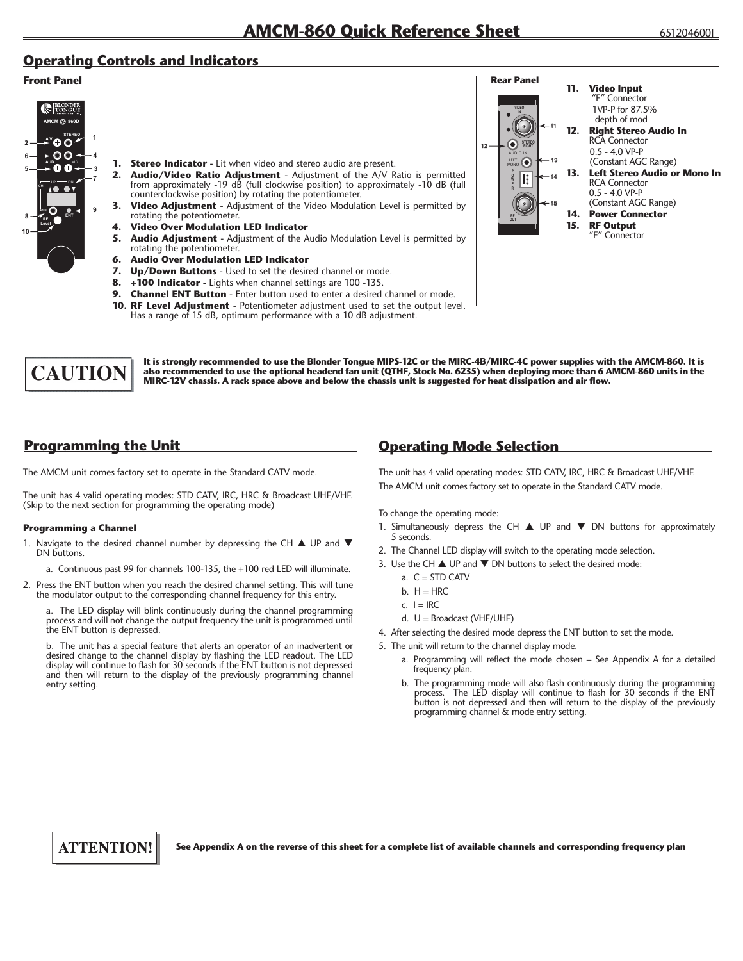## **Operating Controls and Indicators**

#### **Front Panel**



- **1.** Stereo Indicator Lit when video and stereo audio are present.
- **2. Audio/Video Ratio Adjustment** Adjustment of the A/V Ratio is permitted from approximately -19 dB (full clockwise position) to approximately -10 dB (full counterclockwise position) by rotating the potentiometer.
- **3. Video Adjustment** Adjustment of the Video Modulation Level is permitted by rotating the potentiometer.
- **4. Video Over Modulation LED Indicator**
- **5.** Audio Adjustment Adjustment of the Audio Modulation Level is permitted by rotating the potentiometer.
- **6. Audio Over Modulation LED Indicator**
- **7. Up/Down Buttons** Used to set the desired channel or mode.
- **8. +100 Indicator -** Lights when channel settings are 100 -135.
- **9. Channel ENT Button** Enter button used to enter a desired channel or mode.
- **10. RF Level Adjustment** Potentiometer adjustment used to set the output level. Has a range of 15 dB, optimum performance with a 10 dB adjustment.



It is strongly recommended to use the Blonder Tongue MIPS-12C or the MIRC-4B/MIRC-4C power supplies with the AMCM-860. It is CAUTION also recommended to use the optional headend fan unit (QTHF, Stock No. 6235) when deploying more than 6 AMCM-860 units in the<br>MIRC-12V chassis. A rack space above and below the chassis unit is suggested for heat di

# **Programming the Unit**

The AMCM unit comes factory set to operate in the Standard CATV mode.

The unit has 4 valid operating modes: STD CATV, IRC, HRC & Broadcast UHF/VHF. (Skip to the next section for programming the operating mode)

#### **Programming a Channel**

- 1. Navigate to the desired channel number by depressing the CH  $\blacktriangle$  UP and  $\nabla$ DN buttons.
	- a. Continuous past 99 for channels 100-135, the +100 red LED will illuminate.
- 2. Press the ENT button when you reach the desired channel setting. This will tune the modulator output to the corresponding channel frequency for this entry.

 a. The LED display will blink continuously during the channel programming process and will not change the output frequency the unit is programmed until the ENT button is depressed.

 b. The unit has a special feature that alerts an operator of an inadvertent or desired change to the channel display by flashing the LED readout. The LED display will continue to flash for 30 seconds if the ENT button is not depressed and then will return to the display of the previously programming channel entry setting.

## **Operating Mode Selection**

The unit has 4 valid operating modes: STD CATV, IRC, HRC & Broadcast UHF/VHF. The AMCM unit comes factory set to operate in the Standard CATV mode.

To change the operating mode:

- 1. Simultaneously depress the CH  $\triangle$  UP and  $\nabla$  DN buttons for approximately 5 seconds.
- 2. The Channel LED display will switch to the operating mode selection.
- 3. Use the CH  $\triangle$  UP and  $\nabla$  DN buttons to select the desired mode:
	- a.  $C = STD CATV$
	- $h$  H = HRC
	- c.  $I = IRC$
	- d. U = Broadcast (VHF/UHF)
- 4. After selecting the desired mode depress the ENT button to set the mode.
- 5. The unit will return to the channel display mode.
	- a. Programming will reflect the mode chosen See Appendix A for a detailed frequency plan.
	- b. The programming mode will also flash continuously during the programming process. The LED display will continue to flash for 30 seconds if the ENT button is not depressed and then will return to the display of the previously programming channel & mode entry setting.



See Appendix A on the reverse of this sheet for a complete list of available channels and corresponding frequency plan